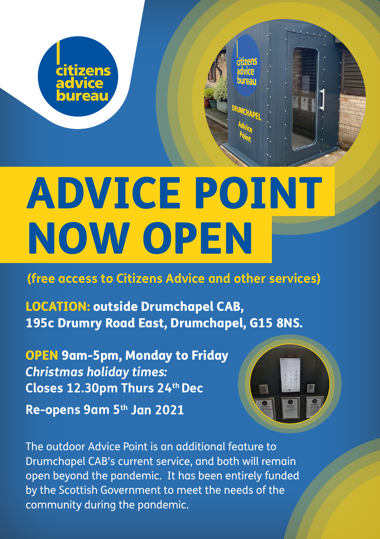

## ADVICE POINT NOW OPEN

**(free access to Citizens Advice and other services)**

LOCATION: outside Drumchapel CAB, 195c Drumry Road East, Drumchapel, G15 8NS.

OPEN 9am-5pm, Monday to Friday *Christmas holiday times:*  **Closes 12.30pm Thurs 24th Dec Re-opens 9am 5th Jan 2021**



The outdoor Advice Point is an additional feature to Drumchapel CAB's current service, and both will remain open beyond the pandemic. It has been entirely funded by the Scottish Government to meet the needs of the community during the pandemic.